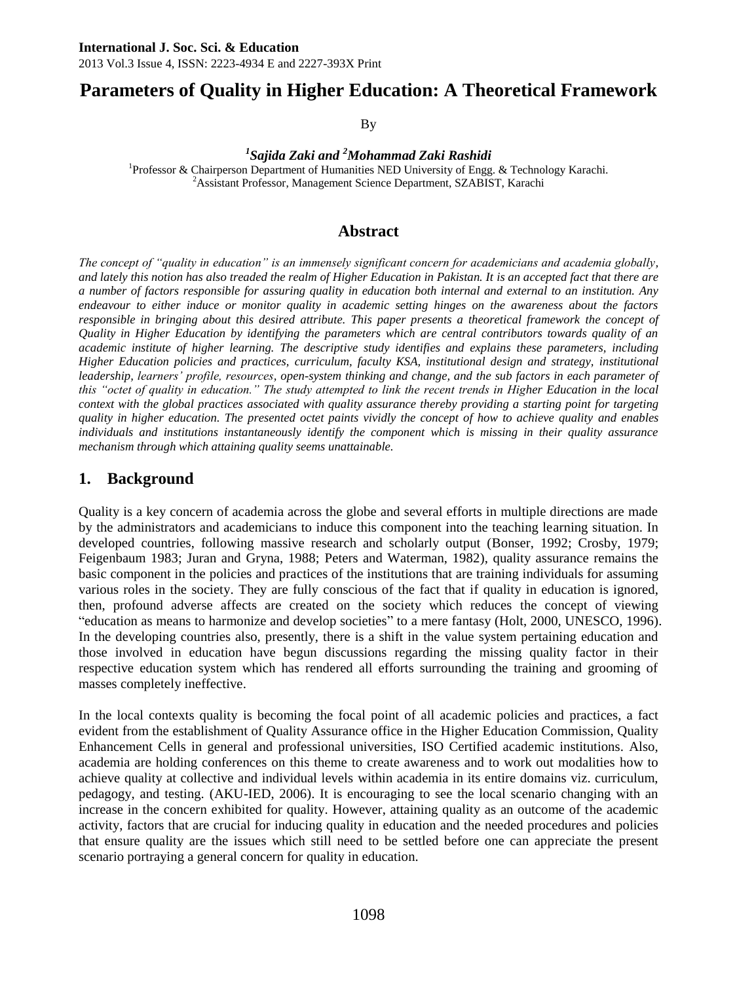# **Parameters of Quality in Higher Education: A Theoretical Framework**

By

*1 Sajida Zaki and <sup>2</sup>Mohammad Zaki Rashidi* <sup>1</sup>Professor & Chairperson Department of Humanities NED University of Engg. & Technology Karachi. <sup>2</sup>Assistant Professor, Management Science Department, SZABIST, Karachi

# **Abstract**

*The concept of "quality in education" is an immensely significant concern for academicians and academia globally, and lately this notion has also treaded the realm of Higher Education in Pakistan. It is an accepted fact that there are a number of factors responsible for assuring quality in education both internal and external to an institution. Any endeavour to either induce or monitor quality in academic setting hinges on the awareness about the factors*  responsible in bringing about this desired attribute. This paper presents a theoretical framework the concept of *Quality in Higher Education by identifying the parameters which are central contributors towards quality of an academic institute of higher learning. The descriptive study identifies and explains these parameters, including Higher Education policies and practices, curriculum, faculty KSA, institutional design and strategy, institutional leadership, learners' profile, resources, open-system thinking and change, and the sub factors in each parameter of*  this "octet of quality in education." The study attempted to link the recent trends in Higher Education in the local *context with the global practices associated with quality assurance thereby providing a starting point for targeting quality in higher education. The presented octet paints vividly the concept of how to achieve quality and enables individuals and institutions instantaneously identify the component which is missing in their quality assurance mechanism through which attaining quality seems unattainable.*

# **1. Background**

Quality is a key concern of academia across the globe and several efforts in multiple directions are made by the administrators and academicians to induce this component into the teaching learning situation. In developed countries, following massive research and scholarly output (Bonser, 1992; Crosby, 1979; Feigenbaum 1983; Juran and Gryna, 1988; Peters and Waterman, 1982), quality assurance remains the basic component in the policies and practices of the institutions that are training individuals for assuming various roles in the society. They are fully conscious of the fact that if quality in education is ignored, then, profound adverse affects are created on the society which reduces the concept of viewing "education as means to harmonize and develop societies" to a mere fantasy (Holt, 2000, UNESCO, 1996). In the developing countries also, presently, there is a shift in the value system pertaining education and those involved in education have begun discussions regarding the missing quality factor in their respective education system which has rendered all efforts surrounding the training and grooming of masses completely ineffective.

In the local contexts quality is becoming the focal point of all academic policies and practices, a fact evident from the establishment of Quality Assurance office in the Higher Education Commission, Quality Enhancement Cells in general and professional universities, ISO Certified academic institutions. Also, academia are holding conferences on this theme to create awareness and to work out modalities how to achieve quality at collective and individual levels within academia in its entire domains viz. curriculum, pedagogy, and testing. (AKU-IED, 2006). It is encouraging to see the local scenario changing with an increase in the concern exhibited for quality. However, attaining quality as an outcome of the academic activity, factors that are crucial for inducing quality in education and the needed procedures and policies that ensure quality are the issues which still need to be settled before one can appreciate the present scenario portraying a general concern for quality in education.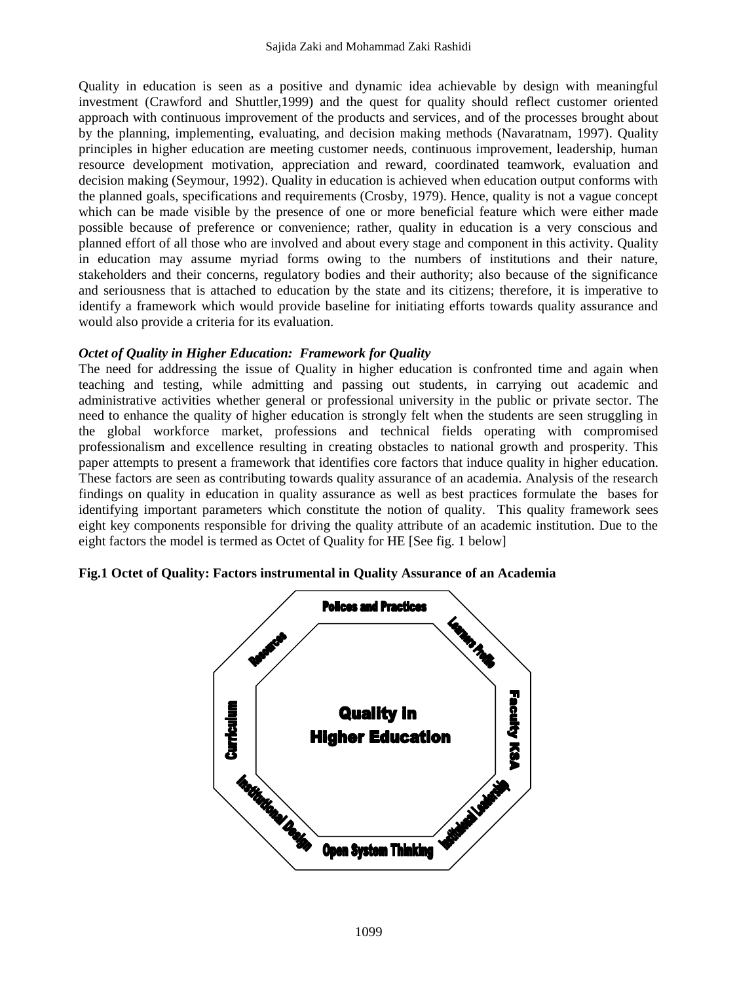Quality in education is seen as a positive and dynamic idea achievable by design with meaningful investment (Crawford and Shuttler,1999) and the quest for quality should reflect customer oriented approach with continuous improvement of the products and services, and of the processes brought about by the planning, implementing, evaluating, and decision making methods (Navaratnam, 1997). Quality principles in higher education are meeting customer needs, continuous improvement, leadership, human resource development motivation, appreciation and reward, coordinated teamwork, evaluation and decision making (Seymour, 1992). Quality in education is achieved when education output conforms with the planned goals, specifications and requirements (Crosby, 1979). Hence, quality is not a vague concept which can be made visible by the presence of one or more beneficial feature which were either made possible because of preference or convenience; rather, quality in education is a very conscious and planned effort of all those who are involved and about every stage and component in this activity. Quality in education may assume myriad forms owing to the numbers of institutions and their nature, stakeholders and their concerns, regulatory bodies and their authority; also because of the significance and seriousness that is attached to education by the state and its citizens; therefore, it is imperative to identify a framework which would provide baseline for initiating efforts towards quality assurance and would also provide a criteria for its evaluation.

#### *Octet of Quality in Higher Education: Framework for Quality*

The need for addressing the issue of Quality in higher education is confronted time and again when teaching and testing, while admitting and passing out students, in carrying out academic and administrative activities whether general or professional university in the public or private sector. The need to enhance the quality of higher education is strongly felt when the students are seen struggling in the global workforce market, professions and technical fields operating with compromised professionalism and excellence resulting in creating obstacles to national growth and prosperity. This paper attempts to present a framework that identifies core factors that induce quality in higher education. These factors are seen as contributing towards quality assurance of an academia. Analysis of the research findings on quality in education in quality assurance as well as best practices formulate the bases for identifying important parameters which constitute the notion of quality. This quality framework sees eight key components responsible for driving the quality attribute of an academic institution. Due to the eight factors the model is termed as Octet of Quality for HE [See fig. 1 below]



**Fig.1 Octet of Quality: Factors instrumental in Quality Assurance of an Academia**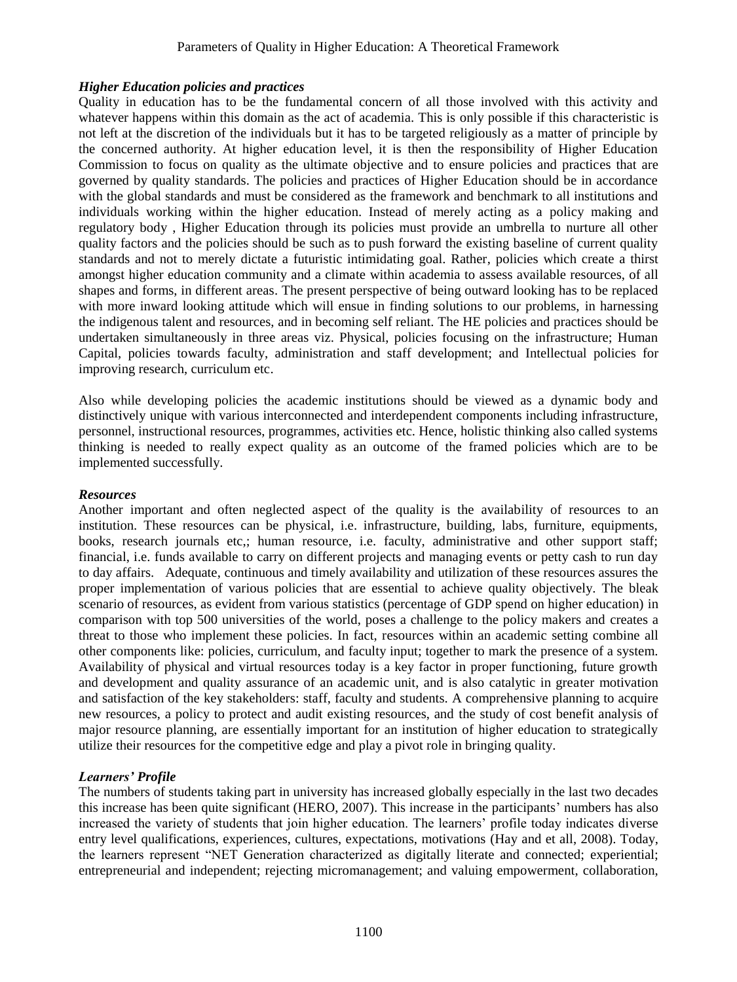## *Higher Education policies and practices*

Quality in education has to be the fundamental concern of all those involved with this activity and whatever happens within this domain as the act of academia. This is only possible if this characteristic is not left at the discretion of the individuals but it has to be targeted religiously as a matter of principle by the concerned authority. At higher education level, it is then the responsibility of Higher Education Commission to focus on quality as the ultimate objective and to ensure policies and practices that are governed by quality standards. The policies and practices of Higher Education should be in accordance with the global standards and must be considered as the framework and benchmark to all institutions and individuals working within the higher education. Instead of merely acting as a policy making and regulatory body , Higher Education through its policies must provide an umbrella to nurture all other quality factors and the policies should be such as to push forward the existing baseline of current quality standards and not to merely dictate a futuristic intimidating goal. Rather, policies which create a thirst amongst higher education community and a climate within academia to assess available resources, of all shapes and forms, in different areas. The present perspective of being outward looking has to be replaced with more inward looking attitude which will ensue in finding solutions to our problems, in harnessing the indigenous talent and resources, and in becoming self reliant. The HE policies and practices should be undertaken simultaneously in three areas viz. Physical, policies focusing on the infrastructure; Human Capital, policies towards faculty, administration and staff development; and Intellectual policies for improving research, curriculum etc.

Also while developing policies the academic institutions should be viewed as a dynamic body and distinctively unique with various interconnected and interdependent components including infrastructure, personnel, instructional resources, programmes, activities etc. Hence, holistic thinking also called systems thinking is needed to really expect quality as an outcome of the framed policies which are to be implemented successfully.

#### *Resources*

Another important and often neglected aspect of the quality is the availability of resources to an institution. These resources can be physical, i.e. infrastructure, building, labs, furniture, equipments, books, research journals etc,; human resource, i.e. faculty, administrative and other support staff; financial, i.e. funds available to carry on different projects and managing events or petty cash to run day to day affairs. Adequate, continuous and timely availability and utilization of these resources assures the proper implementation of various policies that are essential to achieve quality objectively. The bleak scenario of resources, as evident from various statistics (percentage of GDP spend on higher education) in comparison with top 500 universities of the world, poses a challenge to the policy makers and creates a threat to those who implement these policies. In fact, resources within an academic setting combine all other components like: policies, curriculum, and faculty input; together to mark the presence of a system. Availability of physical and virtual resources today is a key factor in proper functioning, future growth and development and quality assurance of an academic unit, and is also catalytic in greater motivation and satisfaction of the key stakeholders: staff, faculty and students. A comprehensive planning to acquire new resources, a policy to protect and audit existing resources, and the study of cost benefit analysis of major resource planning, are essentially important for an institution of higher education to strategically utilize their resources for the competitive edge and play a pivot role in bringing quality.

## *Learners' Profile*

The numbers of students taking part in university has increased globally especially in the last two decades this increase has been quite significant (HERO, 2007). This increase in the participants' numbers has also increased the variety of students that join higher education. The learners' profile today indicates diverse entry level qualifications, experiences, cultures, expectations, motivations (Hay and et all, 2008). Today, the learners represent "NET Generation characterized as digitally literate and connected; experiential; entrepreneurial and independent; rejecting micromanagement; and valuing empowerment, collaboration,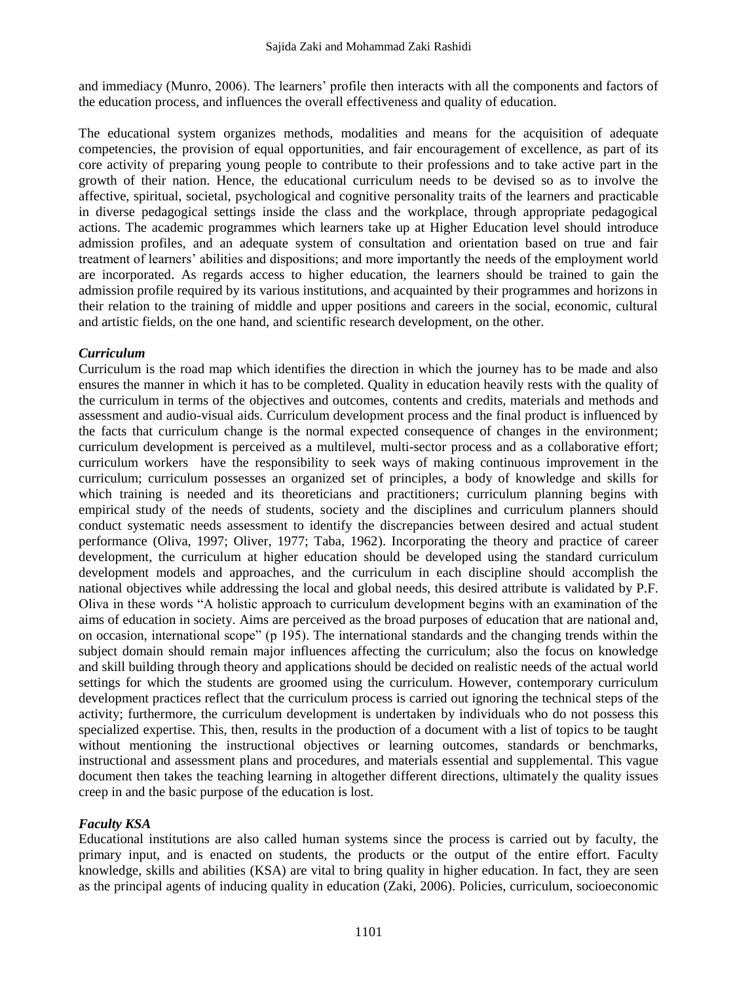and immediacy (Munro, 2006). The learners' profile then interacts with all the components and factors of the education process, and influences the overall effectiveness and quality of education.

The educational system organizes methods, modalities and means for the acquisition of adequate competencies, the provision of equal opportunities, and fair encouragement of excellence, as part of its core activity of preparing young people to contribute to their professions and to take active part in the growth of their nation. Hence, the educational curriculum needs to be devised so as to involve the affective, spiritual, societal, psychological and cognitive personality traits of the learners and practicable in diverse pedagogical settings inside the class and the workplace, through appropriate pedagogical actions. The academic programmes which learners take up at Higher Education level should introduce admission profiles, and an adequate system of consultation and orientation based on true and fair treatment of learners' abilities and dispositions; and more importantly the needs of the employment world are incorporated. As regards access to higher education, the learners should be trained to gain the admission profile required by its various institutions, and acquainted by their programmes and horizons in their relation to the training of middle and upper positions and careers in the social, economic, cultural and artistic fields, on the one hand, and scientific research development, on the other.

#### *Curriculum*

Curriculum is the road map which identifies the direction in which the journey has to be made and also ensures the manner in which it has to be completed. Quality in education heavily rests with the quality of the curriculum in terms of the objectives and outcomes, contents and credits, materials and methods and assessment and audio-visual aids. Curriculum development process and the final product is influenced by the facts that curriculum change is the normal expected consequence of changes in the environment; curriculum development is perceived as a multilevel, multi-sector process and as a collaborative effort; curriculum workers have the responsibility to seek ways of making continuous improvement in the curriculum; curriculum possesses an organized set of principles, a body of knowledge and skills for which training is needed and its theoreticians and practitioners; curriculum planning begins with empirical study of the needs of students, society and the disciplines and curriculum planners should conduct systematic needs assessment to identify the discrepancies between desired and actual student performance (Oliva, 1997; Oliver, 1977; Taba, 1962). Incorporating the theory and practice of career development, the curriculum at higher education should be developed using the standard curriculum development models and approaches, and the curriculum in each discipline should accomplish the national objectives while addressing the local and global needs, this desired attribute is validated by P.F. Oliva in these words "A holistic approach to curriculum development begins with an examination of the aims of education in society. Aims are perceived as the broad purposes of education that are national and, on occasion, international scope" (p 195). The international standards and the changing trends within the subject domain should remain major influences affecting the curriculum; also the focus on knowledge and skill building through theory and applications should be decided on realistic needs of the actual world settings for which the students are groomed using the curriculum. However, contemporary curriculum development practices reflect that the curriculum process is carried out ignoring the technical steps of the activity; furthermore, the curriculum development is undertaken by individuals who do not possess this specialized expertise. This, then, results in the production of a document with a list of topics to be taught without mentioning the instructional objectives or learning outcomes, standards or benchmarks, instructional and assessment plans and procedures, and materials essential and supplemental. This vague document then takes the teaching learning in altogether different directions, ultimately the quality issues creep in and the basic purpose of the education is lost.

## *Faculty KSA*

Educational institutions are also called human systems since the process is carried out by faculty, the primary input, and is enacted on students, the products or the output of the entire effort. Faculty knowledge, skills and abilities (KSA) are vital to bring quality in higher education. In fact, they are seen as the principal agents of inducing quality in education (Zaki, 2006). Policies, curriculum, socioeconomic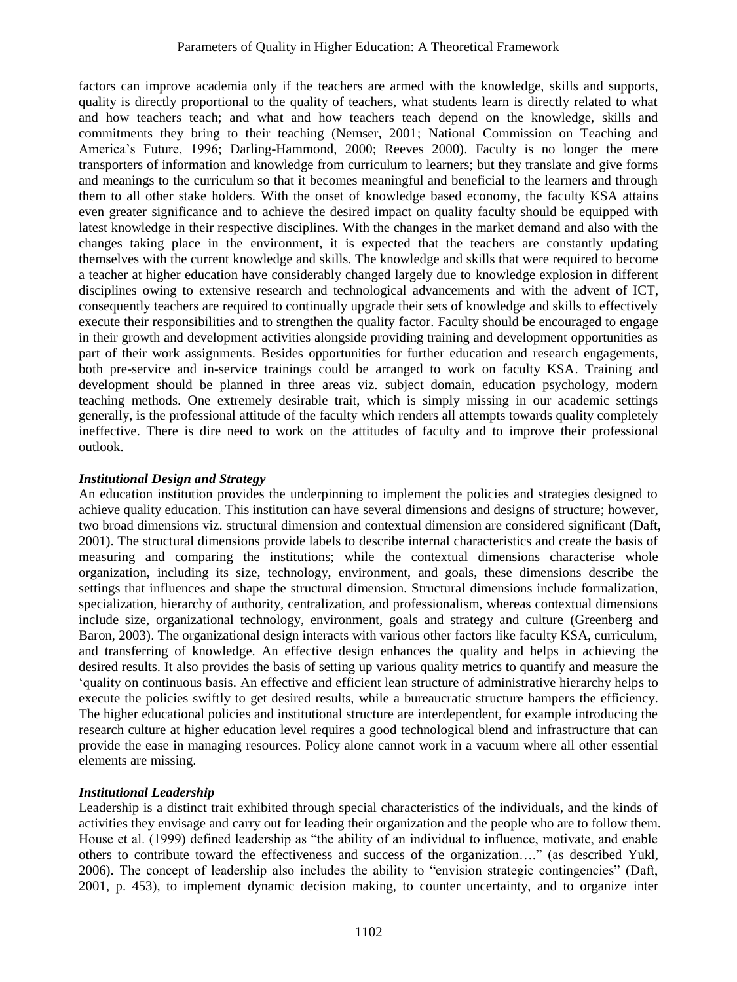factors can improve academia only if the teachers are armed with the knowledge, skills and supports, quality is directly proportional to the quality of teachers, what students learn is directly related to what and how teachers teach; and what and how teachers teach depend on the knowledge, skills and commitments they bring to their teaching (Nemser, 2001; National Commission on Teaching and America's Future, 1996; Darling-Hammond, 2000; Reeves 2000). Faculty is no longer the mere transporters of information and knowledge from curriculum to learners; but they translate and give forms and meanings to the curriculum so that it becomes meaningful and beneficial to the learners and through them to all other stake holders. With the onset of knowledge based economy, the faculty KSA attains even greater significance and to achieve the desired impact on quality faculty should be equipped with latest knowledge in their respective disciplines. With the changes in the market demand and also with the changes taking place in the environment, it is expected that the teachers are constantly updating themselves with the current knowledge and skills. The knowledge and skills that were required to become a teacher at higher education have considerably changed largely due to knowledge explosion in different disciplines owing to extensive research and technological advancements and with the advent of ICT, consequently teachers are required to continually upgrade their sets of knowledge and skills to effectively execute their responsibilities and to strengthen the quality factor. Faculty should be encouraged to engage in their growth and development activities alongside providing training and development opportunities as part of their work assignments. Besides opportunities for further education and research engagements, both pre-service and in-service trainings could be arranged to work on faculty KSA. Training and development should be planned in three areas viz. subject domain, education psychology, modern teaching methods. One extremely desirable trait, which is simply missing in our academic settings generally, is the professional attitude of the faculty which renders all attempts towards quality completely ineffective. There is dire need to work on the attitudes of faculty and to improve their professional outlook.

## *Institutional Design and Strategy*

An education institution provides the underpinning to implement the policies and strategies designed to achieve quality education. This institution can have several dimensions and designs of structure; however, two broad dimensions viz. structural dimension and contextual dimension are considered significant (Daft, 2001). The structural dimensions provide labels to describe internal characteristics and create the basis of measuring and comparing the institutions; while the contextual dimensions characterise whole organization, including its size, technology, environment, and goals, these dimensions describe the settings that influences and shape the structural dimension. Structural dimensions include formalization, specialization, hierarchy of authority, centralization, and professionalism, whereas contextual dimensions include size, organizational technology, environment, goals and strategy and culture (Greenberg and Baron, 2003). The organizational design interacts with various other factors like faculty KSA, curriculum, and transferring of knowledge. An effective design enhances the quality and helps in achieving the desired results. It also provides the basis of setting up various quality metrics to quantify and measure the 'quality on continuous basis. An effective and efficient lean structure of administrative hierarchy helps to execute the policies swiftly to get desired results, while a bureaucratic structure hampers the efficiency. The higher educational policies and institutional structure are interdependent, for example introducing the research culture at higher education level requires a good technological blend and infrastructure that can provide the ease in managing resources. Policy alone cannot work in a vacuum where all other essential elements are missing.

## *Institutional Leadership*

Leadership is a distinct trait exhibited through special characteristics of the individuals, and the kinds of activities they envisage and carry out for leading their organization and the people who are to follow them. House et al. (1999) defined leadership as "the ability of an individual to influence, motivate, and enable others to contribute toward the effectiveness and success of the organization…." (as described Yukl, 2006). The concept of leadership also includes the ability to "envision strategic contingencies" (Daft, 2001, p. 453), to implement dynamic decision making, to counter uncertainty, and to organize inter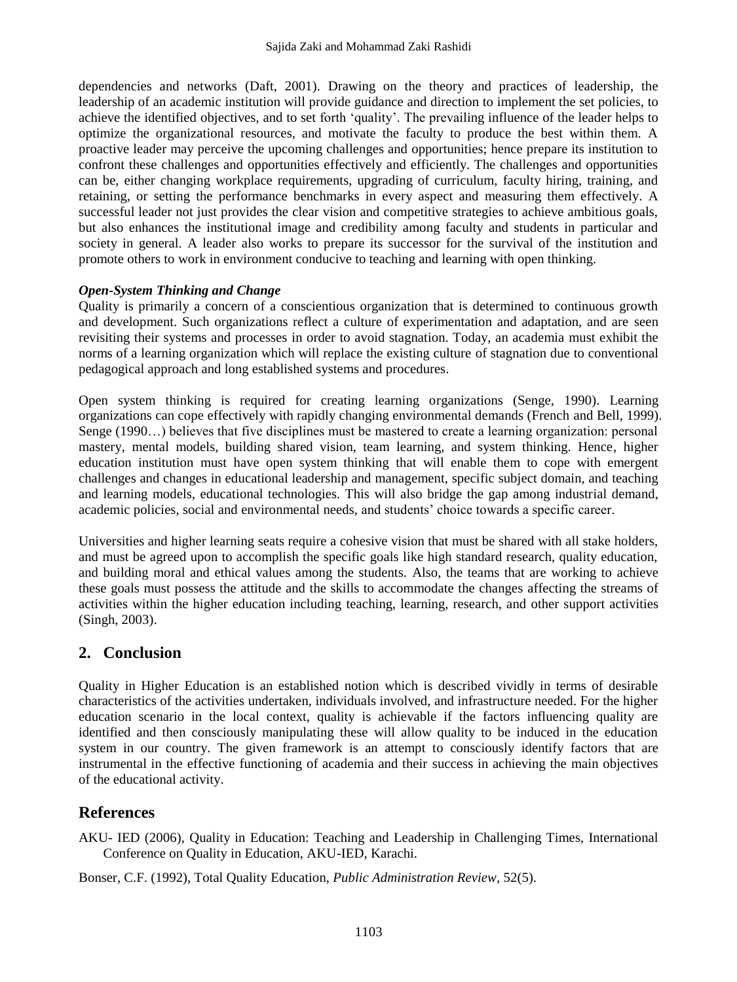dependencies and networks (Daft, 2001). Drawing on the theory and practices of leadership, the leadership of an academic institution will provide guidance and direction to implement the set policies, to achieve the identified objectives, and to set forth 'quality'. The prevailing influence of the leader helps to optimize the organizational resources, and motivate the faculty to produce the best within them. A proactive leader may perceive the upcoming challenges and opportunities; hence prepare its institution to confront these challenges and opportunities effectively and efficiently. The challenges and opportunities can be, either changing workplace requirements, upgrading of curriculum, faculty hiring, training, and retaining, or setting the performance benchmarks in every aspect and measuring them effectively. A successful leader not just provides the clear vision and competitive strategies to achieve ambitious goals, but also enhances the institutional image and credibility among faculty and students in particular and society in general. A leader also works to prepare its successor for the survival of the institution and promote others to work in environment conducive to teaching and learning with open thinking.

#### *Open-System Thinking and Change*

Quality is primarily a concern of a conscientious organization that is determined to continuous growth and development. Such organizations reflect a culture of experimentation and adaptation, and are seen revisiting their systems and processes in order to avoid stagnation. Today, an academia must exhibit the norms of a learning organization which will replace the existing culture of stagnation due to conventional pedagogical approach and long established systems and procedures.

Open system thinking is required for creating learning organizations (Senge, 1990). Learning organizations can cope effectively with rapidly changing environmental demands (French and Bell, 1999). Senge (1990…) believes that five disciplines must be mastered to create a learning organization: personal mastery, mental models, building shared vision, team learning, and system thinking. Hence, higher education institution must have open system thinking that will enable them to cope with emergent challenges and changes in educational leadership and management, specific subject domain, and teaching and learning models, educational technologies. This will also bridge the gap among industrial demand, academic policies, social and environmental needs, and students' choice towards a specific career.

Universities and higher learning seats require a cohesive vision that must be shared with all stake holders, and must be agreed upon to accomplish the specific goals like high standard research, quality education, and building moral and ethical values among the students. Also, the teams that are working to achieve these goals must possess the attitude and the skills to accommodate the changes affecting the streams of activities within the higher education including teaching, learning, research, and other support activities (Singh, 2003).

# **2. Conclusion**

Quality in Higher Education is an established notion which is described vividly in terms of desirable characteristics of the activities undertaken, individuals involved, and infrastructure needed. For the higher education scenario in the local context, quality is achievable if the factors influencing quality are identified and then consciously manipulating these will allow quality to be induced in the education system in our country. The given framework is an attempt to consciously identify factors that are instrumental in the effective functioning of academia and their success in achieving the main objectives of the educational activity.

# **References**

AKU- IED (2006), Quality in Education: Teaching and Leadership in Challenging Times, International Conference on Quality in Education, AKU-IED, Karachi.

Bonser, C.F. (1992), Total Quality Education, *Public Administration Review*, 52(5).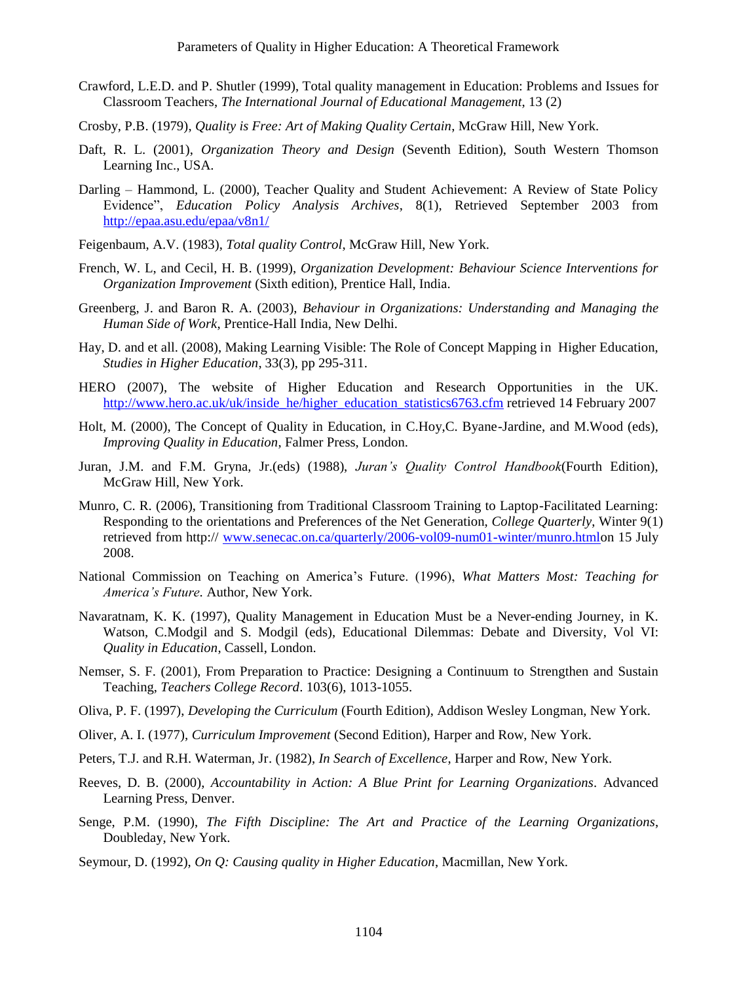- Crawford, L.E.D. and P. Shutler (1999), Total quality management in Education: Problems and Issues for Classroom Teachers, *The International Journal of Educational Management*, 13 (2)
- Crosby, P.B. (1979), *Quality is Free: Art of Making Quality Certain*, McGraw Hill, New York.
- Daft, R. L. (2001), *Organization Theory and Design* (Seventh Edition), South Western Thomson Learning Inc., USA.
- Darling Hammond, L. (2000), Teacher Quality and Student Achievement: A Review of State Policy Evidence", *Education Policy Analysis Archives*, 8(1), Retrieved September 2003 from <http://epaa.asu.edu/epaa/v8n1/>
- Feigenbaum, A.V. (1983), *Total quality Control*, McGraw Hill, New York.
- French, W. L, and Cecil, H. B. (1999), *Organization Development: Behaviour Science Interventions for Organization Improvement* (Sixth edition), Prentice Hall, India.
- Greenberg, J. and Baron R. A. (2003), *Behaviour in Organizations: Understanding and Managing the Human Side of Work*, Prentice-Hall India, New Delhi.
- Hay, D. and et all. (2008), Making Learning Visible: The Role of Concept Mapping in Higher Education, *Studies in Higher Education*, 33(3), pp 295-311.
- HERO (2007), The website of Higher Education and Research Opportunities in the UK. [http://www.hero.ac.uk/uk/inside\\_he/higher\\_education\\_statistics6763.cfm](http://www.hero.ac.uk/uk/inside_he/higher_education_statistics6763.cfm) retrieved 14 February 2007
- Holt, M. (2000), The Concept of Quality in Education, in C.Hoy,C. Byane-Jardine, and M.Wood (eds), *Improving Quality in Education*, Falmer Press, London.
- Juran, J.M. and F.M. Gryna, Jr.(eds) (1988), *Juran's Quality Control Handbook*(Fourth Edition), McGraw Hill, New York.
- Munro, C. R. (2006), Transitioning from Traditional Classroom Training to Laptop-Facilitated Learning: Responding to the orientations and Preferences of the Net Generation, *College Quarterly*, Winter 9(1) retrieved from http:// [www.senecac.on.ca/quarterly/2006-vol09-num01-winter/munro.htmlo](http://www.senecac.on.ca/quarterly/2006-vol09-num01-winter/munro.html)n 15 July 2008.
- National Commission on Teaching on America's Future. (1996), *What Matters Most: Teaching for America's Future.* Author, New York.
- Navaratnam, K. K. (1997), Quality Management in Education Must be a Never-ending Journey, in K. Watson, C.Modgil and S. Modgil (eds), Educational Dilemmas: Debate and Diversity, Vol VI: *Quality in Education*, Cassell, London.
- Nemser, S. F. (2001), From Preparation to Practice: Designing a Continuum to Strengthen and Sustain Teaching, *Teachers College Record*. 103(6), 1013-1055.
- Oliva, P. F. (1997), *Developing the Curriculum* (Fourth Edition), Addison Wesley Longman, New York.
- Oliver, A. I. (1977), *Curriculum Improvement* (Second Edition), Harper and Row, New York.
- Peters, T.J. and R.H. Waterman, Jr. (1982), *In Search of Excellence*, Harper and Row, New York.
- Reeves, D. B. (2000), *Accountability in Action: A Blue Print for Learning Organizations.* Advanced Learning Press, Denver.
- Senge, P.M. (1990), *The Fifth Discipline: The Art and Practice of the Learning Organizations*, Doubleday, New York.
- Seymour, D. (1992), *On Q: Causing quality in Higher Education*, Macmillan, New York.